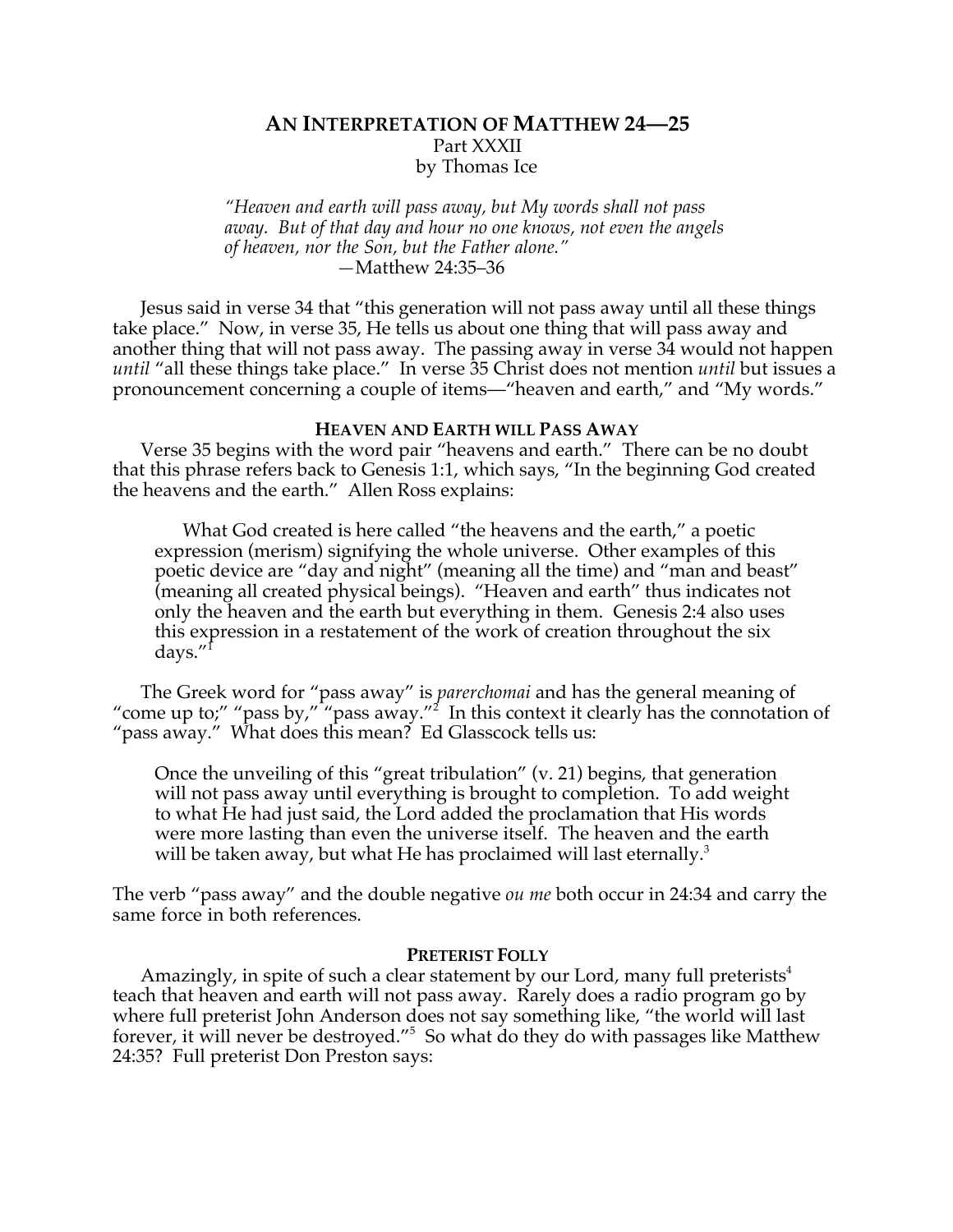# **AN INTERPRETATION OF MATTHEW 24—25** Part XXXII by Thomas Ice

*"Heaven and earth will pass away, but My words shall not pass away. But of that day and hour no one knows, not even the angels of heaven, nor the Son, but the Father alone." —*Matthew 24:35–36

Jesus said in verse 34 that "this generation will not pass away until all these things take place." Now, in verse 35, He tells us about one thing that will pass away and another thing that will not pass away. The passing away in verse 34 would not happen *until* "all these things take place." In verse 35 Christ does not mention *until* but issues a pronouncement concerning a couple of items—"heaven and earth," and "My words."

# **HEAVEN AND EARTH WILL PASS AWAY**

Verse 35 begins with the word pair "heavens and earth." There can be no doubt that this phrase refers back to Genesis 1:1, which says, "In the beginning God created the heavens and the earth." Allen Ross explains:

What God created is here called "the heavens and the earth," a poetic expression (merism) signifying the whole universe. Other examples of this poetic device are "day and night" (meaning all the time) and "man and beast" (meaning all created physical beings). "Heaven and earth" thus indicates not only the heaven and the earth but everything in them. Genesis 2:4 also uses this expression in a restatement of the work of creation throughout the six days."1

The Greek word for "pass away" is *parerchomai* and has the general meaning of "come up to;" "pass by," "pass away."<sup>2</sup> In this context it clearly has the connotation of "pass away." What does this mean? Ed Glasscock tells us:

Once the unveiling of this "great tribulation" (v. 21) begins, that generation will not pass away until everything is brought to completion. To add weight to what He had just said, the Lord added the proclamation that His words were more lasting than even the universe itself. The heaven and the earth will be taken away, but what He has proclaimed will last eternally.<sup>3</sup>

The verb "pass away" and the double negative *ou me* both occur in 24:34 and carry the same force in both references.

## **PRETERIST FOLLY**

Amazingly, in spite of such a clear statement by our Lord, many full preterists<sup>4</sup> teach that heaven and earth will not pass away. Rarely does a radio program go by where full preterist John Anderson does not say something like, "the world will last forever, it will never be destroyed."<sup>5</sup> So what do they do with passages like Matthew 24:35? Full preterist Don Preston says: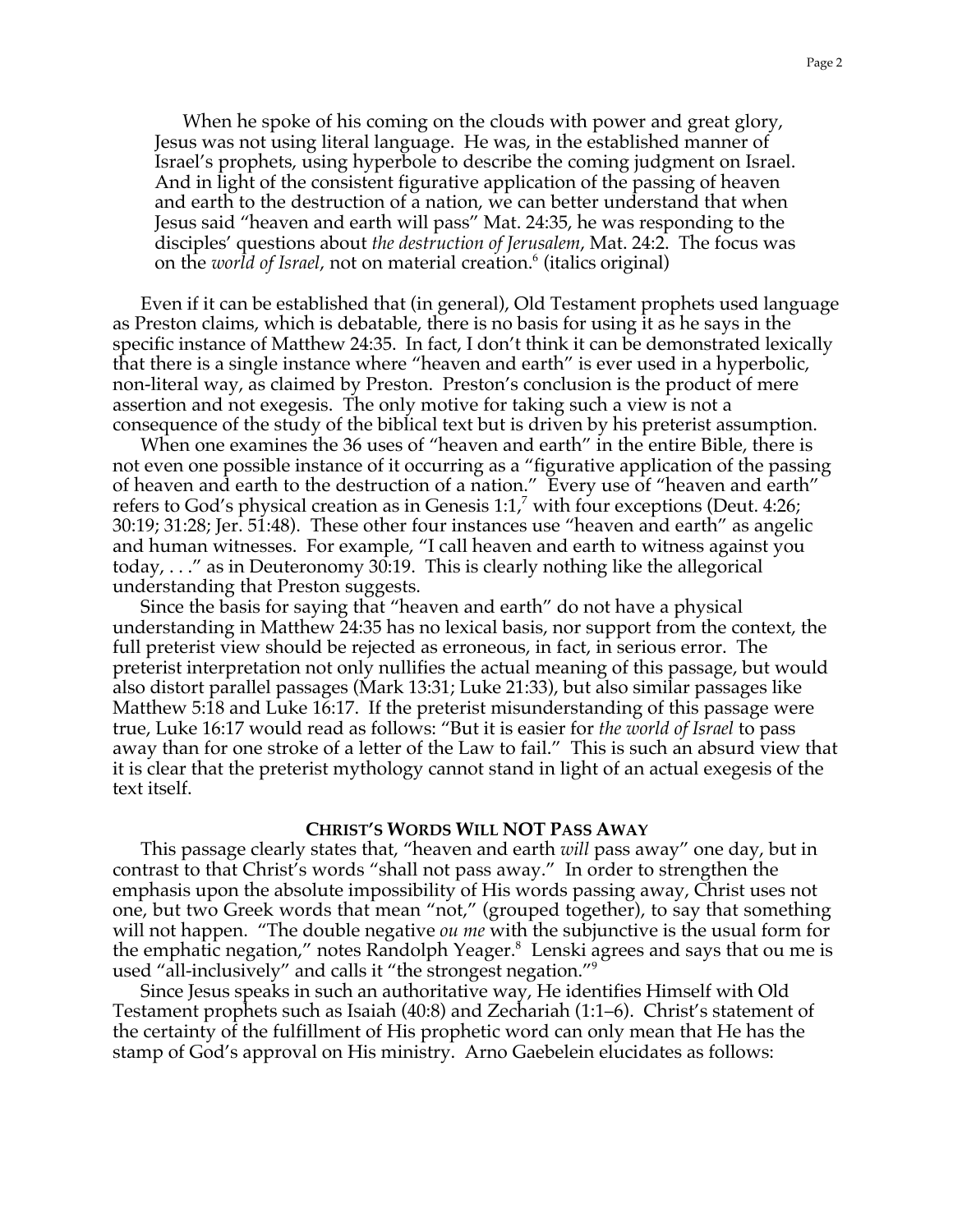When he spoke of his coming on the clouds with power and great glory, Jesus was not using literal language. He was, in the established manner of Israel's prophets, using hyperbole to describe the coming judgment on Israel. And in light of the consistent figurative application of the passing of heaven and earth to the destruction of a nation, we can better understand that when Jesus said "heaven and earth will pass" Mat. 24:35, he was responding to the disciples' questions about *the destruction of Jerusalem*, Mat. 24:2. The focus was on the *world of Israel,* not on material creation.<sup>6</sup> (italics original)

Even if it can be established that (in general), Old Testament prophets used language as Preston claims, which is debatable, there is no basis for using it as he says in the specific instance of Matthew 24:35. In fact, I don't think it can be demonstrated lexically that there is a single instance where "heaven and earth" is ever used in a hyperbolic, non-literal way, as claimed by Preston. Preston's conclusion is the product of mere assertion and not exegesis. The only motive for taking such a view is not a consequence of the study of the biblical text but is driven by his preterist assumption.

When one examines the 36 uses of "heaven and earth" in the entire Bible, there is not even one possible instance of it occurring as a "figurative application of the passing of heaven and earth to the destruction of a nation." Every use of "heaven and earth" refers to God's physical creation as in Genesis 1:1, $^7$  with four exceptions (Deut. 4:26; 30:19; 31:28; Jer. 51:48). These other four instances use "heaven and earth" as angelic and human witnesses. For example, "I call heaven and earth to witness against you today, . . ." as in Deuteronomy 30:19. This is clearly nothing like the allegorical understanding that Preston suggests.

Since the basis for saying that "heaven and earth" do not have a physical understanding in Matthew 24:35 has no lexical basis, nor support from the context, the full preterist view should be rejected as erroneous, in fact, in serious error. The preterist interpretation not only nullifies the actual meaning of this passage, but would also distort parallel passages (Mark 13:31; Luke 21:33), but also similar passages like Matthew 5:18 and Luke 16:17. If the preterist misunderstanding of this passage were true, Luke 16:17 would read as follows: "But it is easier for *the world of Israel* to pass away than for one stroke of a letter of the Law to fail." This is such an absurd view that it is clear that the preterist mythology cannot stand in light of an actual exegesis of the text itself.

### **CHRIST'S WORDS WILL NOT PASS AWAY**

This passage clearly states that, "heaven and earth *will* pass away" one day, but in contrast to that Christ's words "shall not pass away." In order to strengthen the emphasis upon the absolute impossibility of His words passing away, Christ uses not one, but two Greek words that mean "not," (grouped together), to say that something will not happen. "The double negative *ou me* with the subjunctive is the usual form for the emphatic negation," notes Randolph Yeager.<sup>8</sup> Lenski agrees and says that ou me is used "all-inclusively" and calls it "the strongest negation."<sup>9</sup>

Since Jesus speaks in such an authoritative way, He identifies Himself with Old Testament prophets such as Isaiah (40:8) and Zechariah (1:1–6). Christ's statement of the certainty of the fulfillment of His prophetic word can only mean that He has the stamp of God's approval on His ministry. Arno Gaebelein elucidates as follows: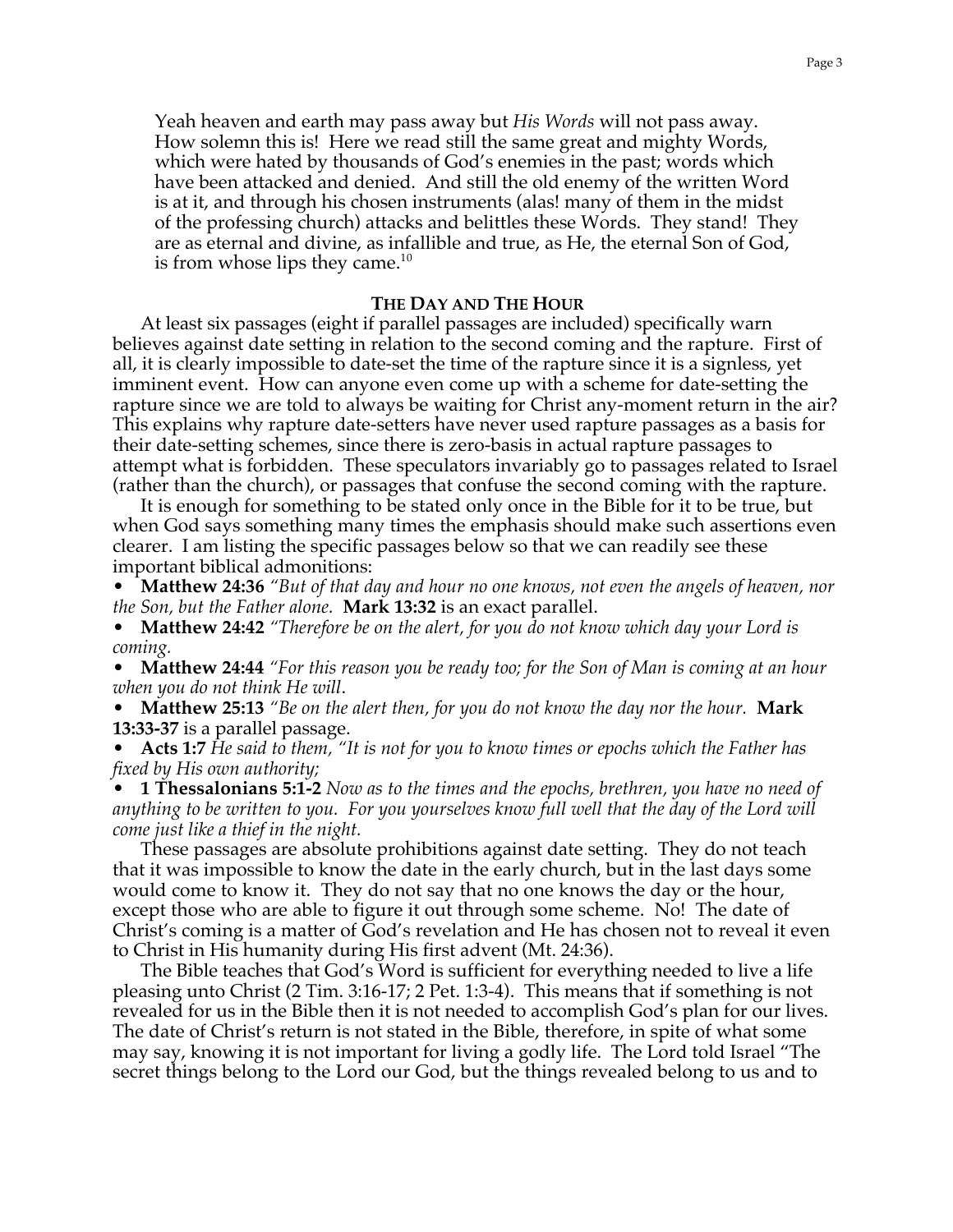Yeah heaven and earth may pass away but *His Words* will not pass away. How solemn this is! Here we read still the same great and mighty Words, which were hated by thousands of God's enemies in the past; words which have been attacked and denied. And still the old enemy of the written Word is at it, and through his chosen instruments (alas! many of them in the midst of the professing church) attacks and belittles these Words. They stand! They are as eternal and divine, as infallible and true, as He, the eternal Son of God, is from whose lips they came. $10<sup>10</sup>$ 

## **THE DAY AND THE HOUR**

At least six passages (eight if parallel passages are included) specifically warn believes against date setting in relation to the second coming and the rapture. First of all, it is clearly impossible to date-set the time of the rapture since it is a signless, yet imminent event. How can anyone even come up with a scheme for date-setting the rapture since we are told to always be waiting for Christ any-moment return in the air? This explains why rapture date-setters have never used rapture passages as a basis for their date-setting schemes, since there is zero-basis in actual rapture passages to attempt what is forbidden. These speculators invariably go to passages related to Israel (rather than the church), or passages that confuse the second coming with the rapture.

It is enough for something to be stated only once in the Bible for it to be true, but when God says something many times the emphasis should make such assertions even clearer. I am listing the specific passages below so that we can readily see these important biblical admonitions:

• **Matthew 24:36** *"But of that day and hour no one knows, not even the angels of heaven, nor the Son, but the Father alone.* **Mark 13:32** is an exact parallel.

• **Matthew 24:42** *"Therefore be on the alert, for you do not know which day your Lord is coming.*

• **Matthew 24:44** *"For this reason you be ready too; for the Son of Man is coming at an hour when you do not think He will*.

• **Matthew 25:13** *"Be on the alert then, for you do not know the day nor the hour.* **Mark 13:33-37** is a parallel passage.

• **Acts 1:7** *He said to them, "It is not for you to know times or epochs which the Father has fixed by His own authority;*

• **1 Thessalonians 5:1-2** *Now as to the times and the epochs, brethren, you have no need of anything to be written to you. For you yourselves know full well that the day of the Lord will come just like a thief in the night.*

These passages are absolute prohibitions against date setting. They do not teach that it was impossible to know the date in the early church, but in the last days some would come to know it. They do not say that no one knows the day or the hour, except those who are able to figure it out through some scheme. No! The date of Christ's coming is a matter of God's revelation and He has chosen not to reveal it even to Christ in His humanity during His first advent (Mt. 24:36).

The Bible teaches that God's Word is sufficient for everything needed to live a life pleasing unto Christ (2 Tim. 3:16-17; 2 Pet. 1:3-4). This means that if something is not revealed for us in the Bible then it is not needed to accomplish God's plan for our lives. The date of Christ's return is not stated in the Bible, therefore, in spite of what some may say, knowing it is not important for living a godly life. The Lord told Israel "The secret things belong to the Lord our God, but the things revealed belong to us and to